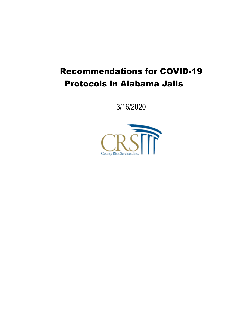# Recommendations for COVID-19 Protocols in Alabama Jails

3/16/2020

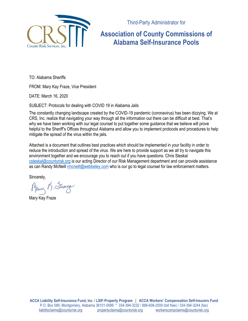

Third-Party Administrator for

# **Association of County Commissions of Alabama Self-Insurance Pools**

TO: Alabama Sheriffs

FROM: Mary Kay Fraze, Vice President

DATE: March 16, 2020

SUBJECT: Protocols for dealing with COVID 19 in Alabama Jails

The constantly changing landscape created by the COVID-19 pandemic (coronavirus) has been dizzying. We at CRS, Inc. realize that navigating your way through all the information out there can be difficult at best. That's why we have been working with our legal counsel to put together some guidance that we believe will prove helpful to the Sheriff's Offices throughout Alabama and allow you to implement protocols and procedures to help mitigate the spread of the virus within the jails.

Attached is a document that outlines best practices which should be implemented in your facility in order to reduce the introduction and spread of the virus. We are here to provide support as we all try to navigate this environment together and we encourage you to reach out if you have questions. Chris Steskal csteskal@countyrisk.org is our acting Director of our Risk Management department and can provide assistance as can Randy McNeill rmcneill@webbeley.com who is our go to legal counsel for law enforcement matters.

Sincerely,

Mary B. France

Mary Kay Fraze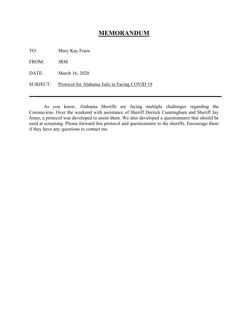#### **MEMORANDUM**

TO: Mary Kay Fraze

FROM: JRM

DATE: March 16, 2020

SUBJECT: Protocol for Alabama Jails in Facing COVID 19

As you know, Alabama Sheriffs are facing multiple challenges regarding the Coronavirus. Over the weekend with assistance of Sheriff Derrick Cunningham and Sheriff Jay Jones, a protocol was developed to assist them. We also developed a questionnaire that should be used at screening. Please forward this protocol and questionnaire to the sheriffs. Encourage them if they have any questions to contact me.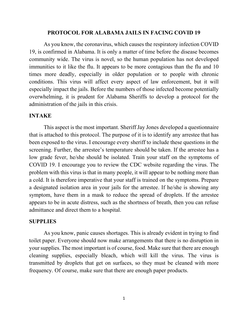#### **PROTOCOL FOR ALABAMA JAILS IN FACING COVID 19**

As you know, the coronavirus, which causes the respiratory infection COVID 19, is confirmed in Alabama. It is only a matter of time before the disease becomes community wide. The virus is novel, so the human population has not developed immunities to it like the flu. It appears to be more contagious than the flu and 10 times more deadly, especially in older population or to people with chronic conditions. This virus will affect every aspect of law enforcement, but it will especially impact the jails. Before the numbers of those infected become potentially overwhelming, it is prudent for Alabama Sheriffs to develop a protocol for the administration of the jails in this crisis.

#### **INTAKE**

This aspect is the most important. Sheriff Jay Jones developed a questionnaire that is attached to this protocol. The purpose of it is to identify any arrestee that has been exposed to the virus. I encourage every sheriff to include these questions in the screening. Further, the arrestee's temperature should be taken. If the arrestee has a low grade fever, he/she should be isolated. Train your staff on the symptoms of COVID 19. I encourage you to review the CDC website regarding the virus. The problem with this virus is that in many people, it will appear to be nothing more than a cold. It is therefore imperative that your staff is trained on the symptoms. Prepare a designated isolation area in your jails for the arrestee. If he/she is showing any symptom, have them in a mask to reduce the spread of droplets. If the arrestee appears to be in acute distress, such as the shortness of breath, then you can refuse admittance and direct them to a hospital.

#### **SUPPLIES**

As you know, panic causes shortages. This is already evident in trying to find toilet paper. Everyone should now make arrangements that there is no disruption in your supplies. The most important is of course, food. Make sure that there are enough cleaning supplies, especially bleach, which will kill the virus. The virus is transmitted by droplets that get on surfaces, so they must be cleaned with more frequency. Of course, make sure that there are enough paper products.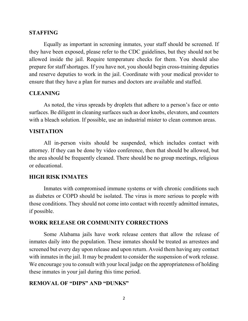#### **STAFFING**

Equally as important in screening inmates, your staff should be screened. If they have been exposed, please refer to the CDC guidelines, but they should not be allowed inside the jail. Require temperature checks for them. You should also prepare for staff shortages. If you have not, you should begin cross-training deputies and reserve deputies to work in the jail. Coordinate with your medical provider to ensure that they have a plan for nurses and doctors are available and staffed.

#### **CLEANING**

As noted, the virus spreads by droplets that adhere to a person's face or onto surfaces. Be diligent in cleaning surfaces such as door knobs, elevators, and counters with a bleach solution. If possible, use an industrial mister to clean common areas.

#### **VISITATION**

All in-person visits should be suspended, which includes contact with attorney. If they can be done by video conference, then that should be allowed, but the area should be frequently cleaned. There should be no group meetings, religious or educational.

#### **HIGH RISK INMATES**

Inmates with compromised immune systems or with chronic conditions such as diabetes or COPD should be isolated. The virus is more serious to people with those conditions. They should not come into contact with recently admitted inmates, if possible.

#### **WORK RELEASE OR COMMUNITY CORRECTIONS**

Some Alabama jails have work release centers that allow the release of inmates daily into the population. These inmates should be treated as arrestees and screened but every day upon release and upon return. Avoid them having any contact with inmates in the jail. It may be prudent to consider the suspension of work release. We encourage you to consult with your local judge on the appropriateness of holding these inmates in your jail during this time period.

#### **REMOVAL OF "DIPS" AND "DUNKS"**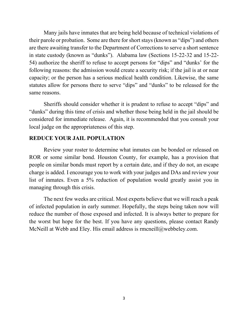Many jails have inmates that are being held because of technical violations of their parole or probation. Some are there for short stays (known as "dips") and others are there awaiting transfer to the Department of Corrections to serve a short sentence in state custody (known as "dunks"). Alabama law (Sections 15-22-32 and 15-22- 54) authorize the sheriff to refuse to accept persons for "dips" and "dunks' for the following reasons: the admission would create a security risk; if the jail is at or near capacity; or the person has a serious medical health condition. Likewise, the same statutes allow for persons there to serve "dips" and "dunks" to be released for the same reasons.

Sheriffs should consider whether it is prudent to refuse to accept "dips" and "dunks" during this time of crisis and whether those being held in the jail should be considered for immediate release. Again, it is recommended that you consult your local judge on the appropriateness of this step.

#### **REDUCE YOUR JAIL POPULATION**

Review your roster to determine what inmates can be bonded or released on ROR or some similar bond. Houston County, for example, has a provision that people on similar bonds must report by a certain date, and if they do not, an escape charge is added. I encourage you to work with your judges and DAs and review your list of inmates. Even a 5% reduction of population would greatly assist you in managing through this crisis.

The next few weeks are critical. Most experts believe that we will reach a peak of infected population in early summer. Hopefully, the steps being taken now will reduce the number of those exposed and infected. It is always better to prepare for the worst but hope for the best. If you have any questions, please contact Randy McNeill at Webb and Eley. His email address is rmcneill@webbeley.com.